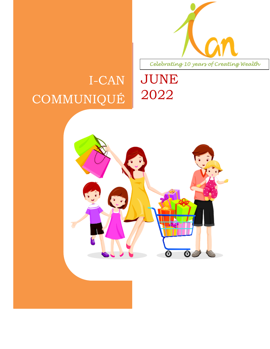

I-CAN COMMUNIQUÉ



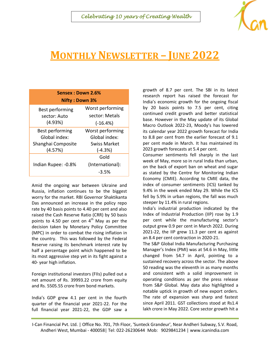#### *Celebrating 10 years of Creating Wealth*



# **MONTHLY NEWSLETTER – JUNE 2022**

| Sensex: Down 2.6%<br><b>Nifty: Down 3%</b> |                  |
|--------------------------------------------|------------------|
| Best performing                            | Worst performing |
| sector: Auto<br>(4.93%)                    | sector: Metals   |
|                                            | $(-16.4%)$       |
| Best performing                            | Worst performing |
| Global index:                              | Global index:    |
| Shanghai Composite                         | Swiss Market     |
| (4.57%)                                    | $(-4.3%)$        |
| Indian Rupee: -0.8%                        | Gold             |
|                                            | (International): |
|                                            | -3.5%            |

Amid the ongoing war between Ukraine and Russia, inflation continues to be the biggest worry for the market. RBI Governor Shaktikanta Das announced an increase in the policy repo rate by 40 basis points to 4.40 per cent and also raised the Cash Reserve Ratio (CRR) by 50 basis points to 4.50 per cent on  $4<sup>th</sup>$  May as per the decision taken by Monetary Policy Committee (MPC) in order to combat the rising inflation in the country. This was followed by the Federal Reserve raising its benchmark interest rate by half a percentage point which happened to be its most aggressive step yet in its fight against a 40- year high inflation.

Foreign institutional investors (FIIs) pulled out a net amount of Rs. 39993.22 crore from equity and Rs. 5505.55 crore from bond markets.

India's GDP grew 4.1 per cent in the fourth quarter of the financial year 2021-22. For the full financial year 2021-22, the GDP saw a growth of 8.7 per cent. The SBI in its latest research report has raised the forecast for India's economic growth for the ongoing fiscal by 20 basis points to 7.5 per cent, citing continued credit growth and better statistical base. However in the May update of its Global Macro Outlook 2022-23, Moody's has lowered its calendar year 2022 growth forecast for India to 8.8 per cent from the earlier forecast of 9.1 per cent made in March. It has maintained its 2023 growth forecasts at 5.4 per cent.

Consumer sentiments fell sharply in the last week of May, more so in rural India than urban, on the back of export ban on wheat and sugar as stated by the Centre for Monitoring Indian Economy (CMIE). According to CMIE data, the index of consumer sentiments (ICS) tanked by 9.4% in the week ended May 29. While the ICS fell by 5.9% in urban regions, the fall was much steeper by 11.4% in rural regions.

India's industrial production indicated by the Index of Industrial Production (IIP) rose by 1.9 per cent while the manufacturing sector's output grew 0.9 per cent in March 2022. During 2021-22, the IIP grew 11.3 per cent as against an 8.4 per cent contraction in 2020-21.

The S&P Global India Manufacturing Purchasing Manager's Index (PMI) was at 54.6 in May, little changed from 54.7 in April, pointing to a sustained recovery across the sector. The above 50 reading was the eleventh in as many months and consistent with a solid improvement in operating conditions as per the press release from S&P Global. May data also highlighted a notable uptick in growth of new export orders. The rate of expansion was sharp and fastest since April 2011. GST collections stood at Rs1.4 lakh crore in May 2022. Core sector growth hit a

I-Can Financial Pvt. Ltd. | Office No. 701, 7th Floor, 'Sunteck Grandeur', Near Andheri Subway, S.V. Road, Andheri West, Mumbai - 400058| Tel: 022-26230644 Mob: 9029841234 | www.icanindia.com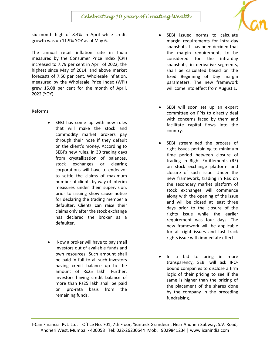six month high of 8.4% in April while credit growth was up 11.9% YOY as of May 6.

The annual retail inflation rate in India measured by the Consumer Price Index (CPI) increased to 7.79 per cent in April of 2022, the highest since May of 2014, and above market forecasts of 7.50 per cent. Wholesale inflation, measured by the Wholesale Price Index (WPI) grew 15.08 per cent for the month of April, 2022 (YOY).

Reforms

- SEBI has come up with new rules that will make the stock and commodity market brokers pay through their nose if they default on the client's money. According to SEBI's new rules, in 30 trading days from crystallization of balances, stock exchanges or clearing corporations will have to endeavor to settle the claims of maximum number of clients by way of interim measures under their supervision, prior to issuing show cause notice for declaring the trading member a defaulter. Clients can raise their claims only after the stock exchange has declared the broker as a defaulter.
- Now a broker will have to pay small investors out of available funds and own resources. Such amount shall be paid in full to all such investors having credit balance up to the amount of Rs25 lakh. Further, investors having credit balance of more than Rs25 lakh shall be paid on pro-rata basis from the remaining funds.
- SEBI issued norms to calculate margin requirements for intra-day snapshots. It has been decided that the margin requirements to be considered for the intra-day snapshots, in derivative segments, shall be calculated based on the fixed Beginning of Day margin parameters. The new framework will come into effect from August 1.
- SEBI will soon set up an expert committee on FPIs to directly deal with concerns faced by them and facilitate capital flows into the country.
- SEBI streamlined the process of right issues pertaining to minimum time period between closure of trading in Right Entitlements (RE) on stock exchange platform and closure of such issue. Under the new framework, trading in REs on the secondary market platform of stock exchanges will commence along with the opening of the issue and will be closed at least three days prior to the closure of the rights issue while the earlier requirement was four days. The new framework will be applicable for all right issues and fast track rights issue with immediate effect.
- In a bid to bring in more transparency, SEBI will ask IPObound companies to disclose a firm logic of their pricing to see if the same is higher than the pricing of the placement of the shares done by the company in the preceding fundraising.

I-Can Financial Pvt. Ltd. | Office No. 701, 7th Floor, 'Sunteck Grandeur', Near Andheri Subway, S.V. Road, Andheri West, Mumbai - 400058| Tel: 022-26230644 Mob: 9029841234 | www.icanindia.com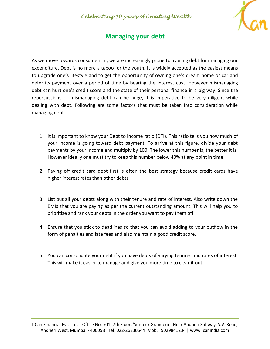

## **Managing your debt**

As we move towards consumerism, we are increasingly prone to availing debt for managing our expenditure. Debt is no more a taboo for the youth. It is widely accepted as the easiest means to upgrade one's lifestyle and to get the opportunity of owning one's dream home or car and defer its payment over a period of time by bearing the interest cost. However mismanaging debt can hurt one's credit score and the state of their personal finance in a big way. Since the repercussions of mismanaging debt can be huge, it is imperative to be very diligent while dealing with debt. Following are some factors that must be taken into consideration while managing debt-

- 1. It is important to know your Debt to Income ratio (DTI). This ratio tells you how much of your income is going toward debt payment. To arrive at this figure, divide your debt payments by your income and multiply by 100. The lower this number is, the better it is. However ideally one must try to keep this number below 40% at any point in time.
- 2. Paying off credit card debt first is often the best strategy because credit cards have higher interest rates than other debts.
- 3. List out all your debts along with their tenure and rate of interest. Also write down the EMIs that you are paying as per the current outstanding amount. This will help you to prioritize and rank your debts in the order you want to pay them off.
- 4. Ensure that you stick to deadlines so that you can avoid adding to your outflow in the form of penalties and late fees and also maintain a good credit score.
- 5. You can consolidate your debt if you have debts of varying tenures and rates of interest. This will make it easier to manage and give you more time to clear it out.

I-Can Financial Pvt. Ltd. | Office No. 701, 7th Floor, 'Sunteck Grandeur', Near Andheri Subway, S.V. Road, Andheri West, Mumbai - 400058| Tel: 022-26230644 Mob: 9029841234 | www.icanindia.com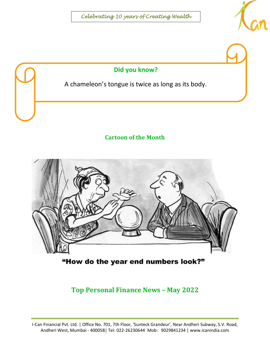



### **Cartoon of the Month**



"How do the year end numbers look?"

**Top Personal Finance News – May 2022**

I-Can Financial Pvt. Ltd. | Office No. 701, 7th Floor, 'Sunteck Grandeur', Near Andheri Subway, S.V. Road, Andheri West, Mumbai - 400058| Tel: 022-26230644 Mob: 9029841234 | www.icanindia.com